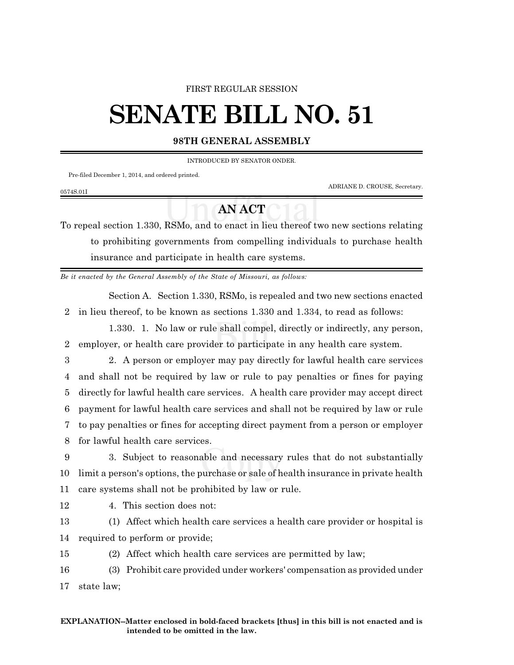### FIRST REGULAR SESSION

# **SENATE BILL NO. 51**

### **98TH GENERAL ASSEMBLY**

INTRODUCED BY SENATOR ONDER.

Pre-filed December 1, 2014, and ordered printed.

0574S.01I

ADRIANE D. CROUSE, Secretary.

# **AN ACT**

To repeal section 1.330, RSMo, and to enact in lieu thereof two new sections relating to prohibiting governments from compelling individuals to purchase health insurance and participate in health care systems.

*Be it enacted by the General Assembly of the State of Missouri, as follows:*

Section A. Section 1.330, RSMo, is repealed and two new sections enacted 2 in lieu thereof, to be known as sections 1.330 and 1.334, to read as follows:

1.330. 1. No law or rule shall compel, directly or indirectly, any person, 2 employer, or health care provider to participate in any health care system.

 2. A person or employer may pay directly for lawful health care services and shall not be required by law or rule to pay penalties or fines for paying directly for lawful health care services. A health care provider may accept direct payment for lawful health care services and shall not be required by law or rule to pay penalties or fines for accepting direct payment from a person or employer for lawful health care services.

9 3. Subject to reasonable and necessary rules that do not substantially 10 limit a person's options, the purchase or sale of health insurance in private health 11 care systems shall not be prohibited by law or rule.

12 4. This section does not:

13 (1) Affect which health care services a health care provider or hospital is 14 required to perform or provide;

15 (2) Affect which health care services are permitted by law;

16 (3) Prohibit care provided under workers' compensation as provided under 17 state law;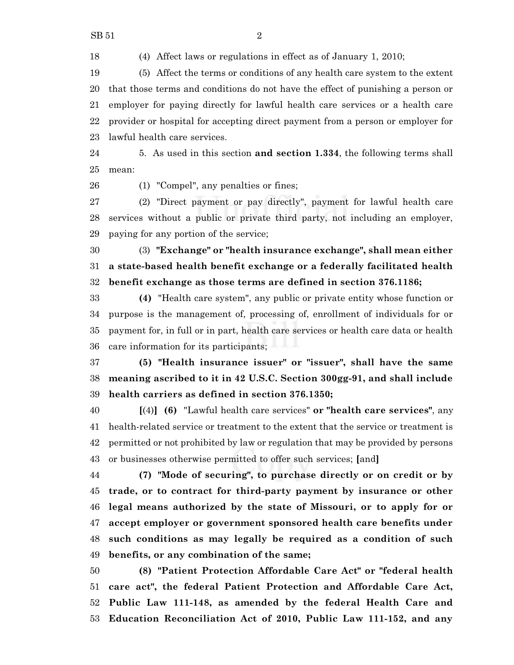(4) Affect laws or regulations in effect as of January 1, 2010;

 (5) Affect the terms or conditions of any health care system to the extent that those terms and conditions do not have the effect of punishing a person or employer for paying directly for lawful health care services or a health care provider or hospital for accepting direct payment from a person or employer for lawful health care services.

 5. As used in this section **and section 1.334**, the following terms shall mean:

(1) "Compel", any penalties or fines;

 (2) "Direct payment or pay directly", payment for lawful health care services without a public or private third party, not including an employer, paying for any portion of the service;

 (3) **"Exchange" or "health insurance exchange", shall mean either a state-based health benefit exchange or a federally facilitated health benefit exchange as those terms are defined in section 376.1186;**

 **(4)** "Health care system", any public or private entity whose function or purpose is the management of, processing of, enrollment of individuals for or payment for, in full or in part, health care services or health care data or health care information for its participants;

 **(5) "Health insurance issuer" or "issuer", shall have the same meaning ascribed to it in 42 U.S.C. Section 300gg-91, and shall include health carriers as defined in section 376.1350;**

 **[**(4)**] (6)** "Lawful health care services" **or "health care services"**, any health-related service or treatment to the extent that the service or treatment is permitted or not prohibited by law or regulation that may be provided by persons or businesses otherwise permitted to offer such services; **[**and**]**

 **(7) "Mode of securing", to purchase directly or on credit or by trade, or to contract for third-party payment by insurance or other legal means authorized by the state of Missouri, or to apply for or accept employer or government sponsored health care benefits under such conditions as may legally be required as a condition of such benefits, or any combination of the same;**

 **(8) "Patient Protection Affordable Care Act" or "federal health care act", the federal Patient Protection and Affordable Care Act, Public Law 111-148, as amended by the federal Health Care and Education Reconciliation Act of 2010, Public Law 111-152, and any**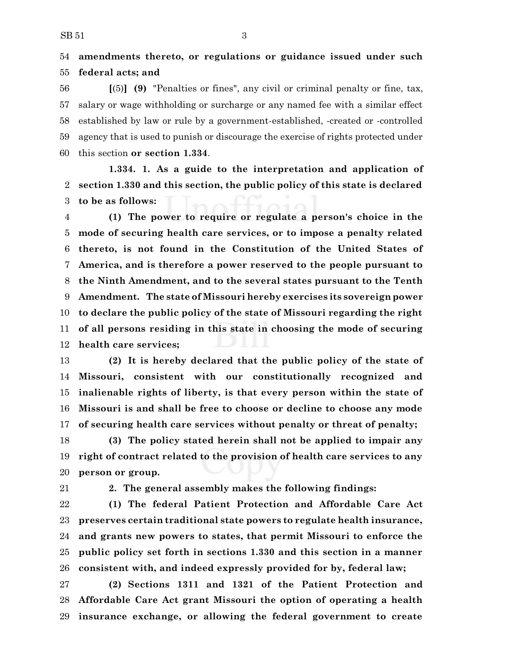## **amendments thereto, or regulations or guidance issued under such federal acts; and**

 **[**(5)**] (9)** "Penalties or fines", any civil or criminal penalty or fine, tax, salary or wage withholding or surcharge or any named fee with a similar effect established by law or rule by a government-established, -created or -controlled agency that is used to punish or discourage the exercise of rights protected under this section **or section 1.334**.

**1.334. 1. As a guide to the interpretation and application of section 1.330 and this section, the public policy of this state is declared to be as follows:**

 **(1) The power to require or regulate a person's choice in the mode of securing health care services, or to impose a penalty related thereto, is not found in the Constitution of the United States of America, and is therefore a power reserved to the people pursuant to the Ninth Amendment, and to the several states pursuant to the Tenth Amendment. The state of Missouri hereby exercises its sovereign power to declare the public policy of the state of Missouri regarding the right of all persons residing in this state in choosing the mode of securing health care services;**

 **(2) It is hereby declared that the public policy of the state of Missouri, consistent with our constitutionally recognized and inalienable rights of liberty, is that every person within the state of Missouri is and shall be free to choose or decline to choose any mode of securing health care services without penalty or threat of penalty;**

 **(3) The policy stated herein shall not be applied to impair any right of contract related to the provision of health care services to any person or group.**

**2. The general assembly makes the following findings:**

 **(1) The federal Patient Protection and Affordable Care Act preserves certain traditional state powers to regulate health insurance, and grants new powers to states, that permit Missouri to enforce the public policy set forth in sections 1.330 and this section in a manner consistent with, and indeed expressly provided for by, federal law;**

 **(2) Sections 1311 and 1321 of the Patient Protection and Affordable Care Act grant Missouri the option of operating a health insurance exchange, or allowing the federal government to create**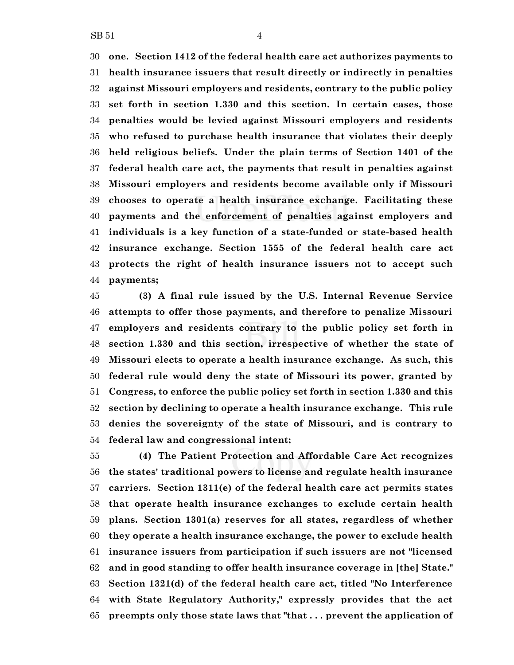**one. Section 1412 of the federal health care act authorizes payments to health insurance issuers that result directly or indirectly in penalties against Missouri employers and residents, contrary to the public policy set forth in section 1.330 and this section. In certain cases, those penalties would be levied against Missouri employers and residents who refused to purchase health insurance that violates their deeply held religious beliefs. Under the plain terms of Section 1401 of the federal health care act, the payments that result in penalties against Missouri employers and residents become available only if Missouri chooses to operate a health insurance exchange. Facilitating these payments and the enforcement of penalties against employers and individuals is a key function of a state-funded or state-based health insurance exchange. Section 1555 of the federal health care act protects the right of health insurance issuers not to accept such payments;**

 **(3) A final rule issued by the U.S. Internal Revenue Service attempts to offer those payments, and therefore to penalize Missouri employers and residents contrary to the public policy set forth in section 1.330 and this section, irrespective of whether the state of Missouri elects to operate a health insurance exchange. As such, this federal rule would deny the state of Missouri its power, granted by Congress, to enforce the public policy set forth in section 1.330 and this section by declining to operate a health insurance exchange. This rule denies the sovereignty of the state of Missouri, and is contrary to federal law and congressional intent;**

 **(4) The Patient Protection and Affordable Care Act recognizes the states' traditional powers to license and regulate health insurance carriers. Section 1311(e) of the federal health care act permits states that operate health insurance exchanges to exclude certain health plans. Section 1301(a) reserves for all states, regardless of whether they operate a health insurance exchange, the power to exclude health insurance issuers from participation if such issuers are not "licensed and in good standing to offer health insurance coverage in [the] State." Section 1321(d) of the federal health care act, titled "No Interference with State Regulatory Authority," expressly provides that the act preempts only those state laws that "that . . . prevent the application of**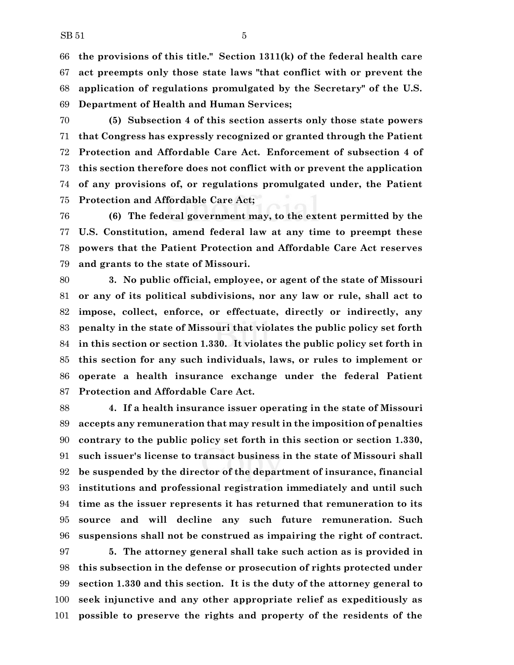**the provisions of this title." Section 1311(k) of the federal health care act preempts only those state laws "that conflict with or prevent the application of regulations promulgated by the Secretary" of the U.S. Department of Health and Human Services;**

 **(5) Subsection 4 of this section asserts only those state powers that Congress has expressly recognized or granted through the Patient Protection and Affordable Care Act. Enforcement of subsection 4 of this section therefore does not conflict with or prevent the application of any provisions of, or regulations promulgated under, the Patient Protection and Affordable Care Act;**

 **(6) The federal government may, to the extent permitted by the U.S. Constitution, amend federal law at any time to preempt these powers that the Patient Protection and Affordable Care Act reserves and grants to the state of Missouri.**

 **3. No public official, employee, or agent of the state of Missouri or any of its political subdivisions, nor any law or rule, shall act to impose, collect, enforce, or effectuate, directly or indirectly, any penalty in the state of Missouri that violates the public policy set forth in this section or section 1.330. It violates the public policy set forth in this section for any such individuals, laws, or rules to implement or operate a health insurance exchange under the federal Patient Protection and Affordable Care Act.**

 **4. If a health insurance issuer operating in the state of Missouri accepts any remuneration that may result in the imposition of penalties contrary to the public policy set forth in this section or section 1.330, such issuer's license to transact business in the state of Missouri shall be suspended by the director of the department of insurance, financial institutions and professional registration immediately and until such time as the issuer represents it has returned that remuneration to its source and will decline any such future remuneration. Such suspensions shall not be construed as impairing the right of contract.**

 **5. The attorney general shall take such action as is provided in this subsection in the defense or prosecution of rights protected under section 1.330 and this section. It is the duty of the attorney general to seek injunctive and any other appropriate relief as expeditiously as possible to preserve the rights and property of the residents of the**